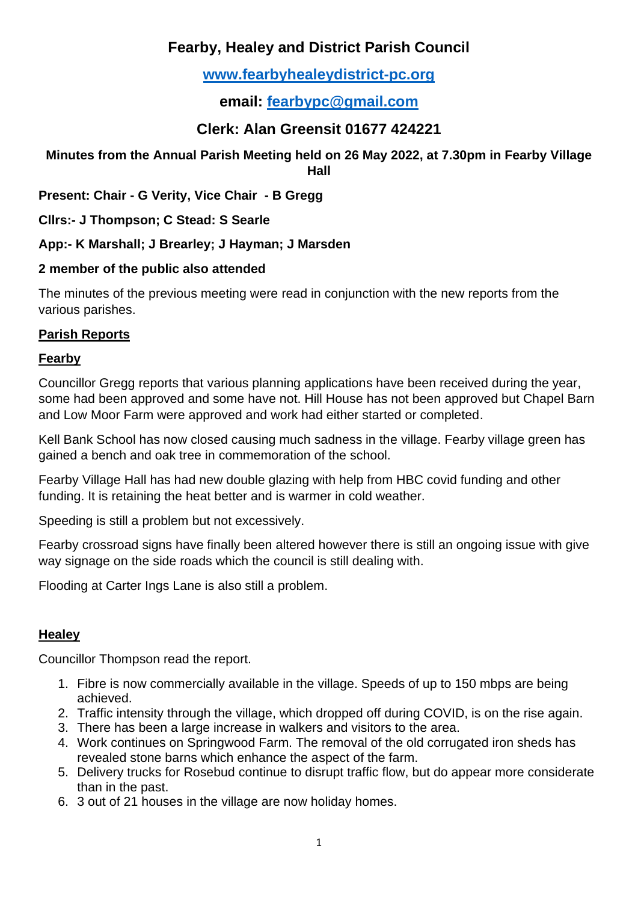# **Fearby, Healey and District Parish Council**

# **[www.fearbyhealeydistrict-pc.org](http://www.fearbyhealeydistrict-pc.org/)**

**email: [fearbypc@gmail.com](mailto:fearbypc@gmail.com)**

# **Clerk: Alan Greensit 01677 424221**

#### **Minutes from the Annual Parish Meeting held on 26 May 2022, at 7.30pm in Fearby Village Hall**

**Present: Chair - G Verity, Vice Chair - B Gregg**

**Cllrs:- J Thompson; C Stead: S Searle**

**App:- K Marshall; J Brearley; J Hayman; J Marsden**

### **2 member of the public also attended**

The minutes of the previous meeting were read in conjunction with the new reports from the various parishes.

## **Parish Reports**

#### **Fearby**

Councillor Gregg reports that various planning applications have been received during the year, some had been approved and some have not. Hill House has not been approved but Chapel Barn and Low Moor Farm were approved and work had either started or completed.

Kell Bank School has now closed causing much sadness in the village. Fearby village green has gained a bench and oak tree in commemoration of the school.

Fearby Village Hall has had new double glazing with help from HBC covid funding and other funding. It is retaining the heat better and is warmer in cold weather.

Speeding is still a problem but not excessively.

Fearby crossroad signs have finally been altered however there is still an ongoing issue with give way signage on the side roads which the council is still dealing with.

Flooding at Carter Ings Lane is also still a problem.

## **Healey**

Councillor Thompson read the report.

- 1. Fibre is now commercially available in the village. Speeds of up to 150 mbps are being achieved.
- 2. Traffic intensity through the village, which dropped off during COVID, is on the rise again.
- 3. There has been a large increase in walkers and visitors to the area.
- 4. Work continues on Springwood Farm. The removal of the old corrugated iron sheds has revealed stone barns which enhance the aspect of the farm.
- 5. Delivery trucks for Rosebud continue to disrupt traffic flow, but do appear more considerate than in the past.
- 6. 3 out of 21 houses in the village are now holiday homes.